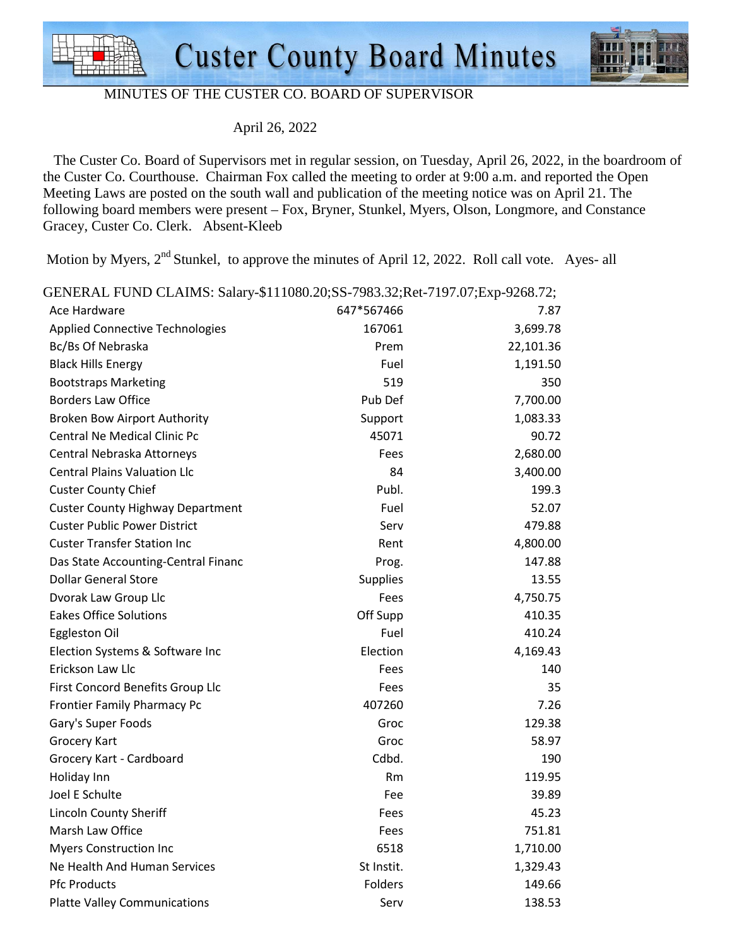



## MINUTES OF THE CUSTER CO. BOARD OF SUPERVISOR

April 26, 2022

 The Custer Co. Board of Supervisors met in regular session, on Tuesday, April 26, 2022, in the boardroom of the Custer Co. Courthouse. Chairman Fox called the meeting to order at 9:00 a.m. and reported the Open Meeting Laws are posted on the south wall and publication of the meeting notice was on April 21. The following board members were present – Fox, Bryner, Stunkel, Myers, Olson, Longmore, and Constance Gracey, Custer Co. Clerk. Absent-Kleeb

Motion by Myers,  $2<sup>nd</sup>$  Stunkel, to approve the minutes of April 12, 2022. Roll call vote. Ayes- all

| GENERAL FUND CLAIMS: Salary-\$111080.20;SS-7983.32;Ret-7197.07;Exp-9268.72; |                 |           |
|-----------------------------------------------------------------------------|-----------------|-----------|
| Ace Hardware                                                                | 647*567466      | 7.87      |
| <b>Applied Connective Technologies</b>                                      | 167061          | 3,699.78  |
| Bc/Bs Of Nebraska                                                           | Prem            | 22,101.36 |
| <b>Black Hills Energy</b>                                                   | Fuel            | 1,191.50  |
| <b>Bootstraps Marketing</b>                                                 | 519             | 350       |
| <b>Borders Law Office</b>                                                   | Pub Def         | 7,700.00  |
| Broken Bow Airport Authority                                                | Support         | 1,083.33  |
| <b>Central Ne Medical Clinic Pc</b>                                         | 45071           | 90.72     |
| Central Nebraska Attorneys                                                  | Fees            | 2,680.00  |
| <b>Central Plains Valuation Llc</b>                                         | 84              | 3,400.00  |
| <b>Custer County Chief</b>                                                  | Publ.           | 199.3     |
| <b>Custer County Highway Department</b>                                     | Fuel            | 52.07     |
| <b>Custer Public Power District</b>                                         | Serv            | 479.88    |
| <b>Custer Transfer Station Inc</b>                                          | Rent            | 4,800.00  |
| Das State Accounting-Central Financ                                         | Prog.           | 147.88    |
| <b>Dollar General Store</b>                                                 | <b>Supplies</b> | 13.55     |
| Dvorak Law Group Llc                                                        | Fees            | 4,750.75  |
| <b>Eakes Office Solutions</b>                                               | Off Supp        | 410.35    |
| Eggleston Oil                                                               | Fuel            | 410.24    |
| Election Systems & Software Inc                                             | Election        | 4,169.43  |
| Erickson Law Llc                                                            | Fees            | 140       |
| First Concord Benefits Group Llc                                            | Fees            | 35        |
| <b>Frontier Family Pharmacy Pc</b>                                          | 407260          | 7.26      |
| Gary's Super Foods                                                          | Groc            | 129.38    |
| <b>Grocery Kart</b>                                                         | Groc            | 58.97     |
| Grocery Kart - Cardboard                                                    | Cdbd.           | 190       |
| Holiday Inn                                                                 | Rm              | 119.95    |
| Joel E Schulte                                                              | Fee             | 39.89     |
| <b>Lincoln County Sheriff</b>                                               | Fees            | 45.23     |
| Marsh Law Office                                                            | Fees            | 751.81    |
| <b>Myers Construction Inc</b>                                               | 6518            | 1,710.00  |
| Ne Health And Human Services                                                | St Instit.      | 1,329.43  |
| <b>Pfc Products</b>                                                         | Folders         | 149.66    |
| <b>Platte Valley Communications</b>                                         | Serv            | 138.53    |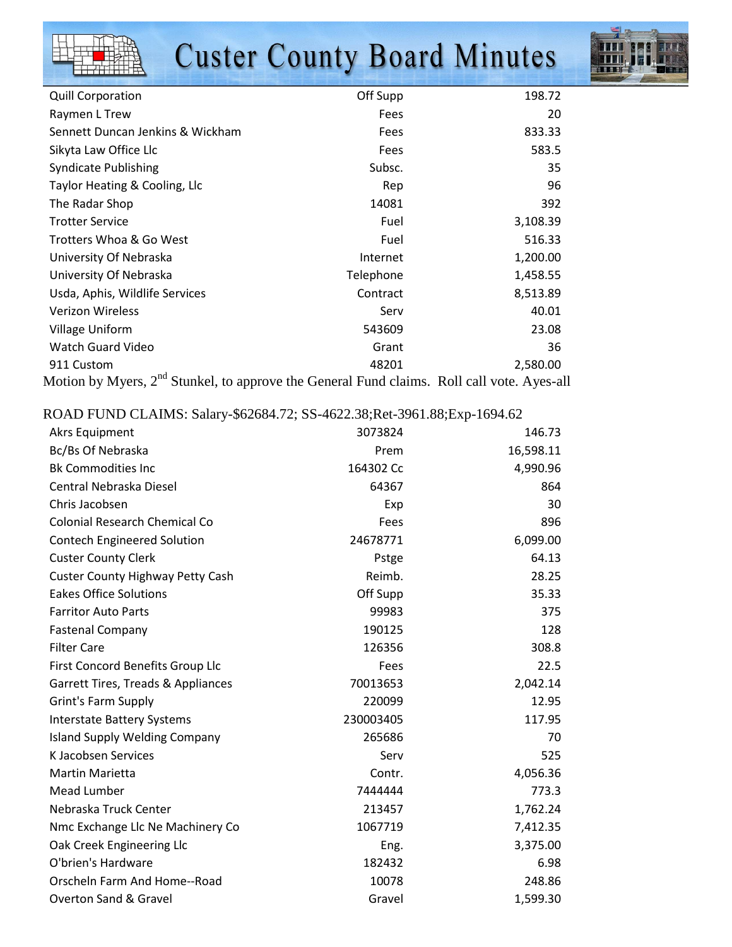|  |  | <b>Custer County Board Minutes</b> |
|--|--|------------------------------------|
|  |  |                                    |



| <b>Quill Corporation</b>                                                                               | Off Supp  | 198.72   |
|--------------------------------------------------------------------------------------------------------|-----------|----------|
| Raymen L Trew                                                                                          | Fees      | 20       |
| Sennett Duncan Jenkins & Wickham                                                                       | Fees      | 833.33   |
| Sikyta Law Office Llc                                                                                  | Fees      | 583.5    |
| <b>Syndicate Publishing</b>                                                                            | Subsc.    | 35       |
| Taylor Heating & Cooling, Llc                                                                          | Rep       | 96       |
| The Radar Shop                                                                                         | 14081     | 392      |
| <b>Trotter Service</b>                                                                                 | Fuel      | 3,108.39 |
| Trotters Whoa & Go West                                                                                | Fuel      | 516.33   |
| University Of Nebraska                                                                                 | Internet  | 1,200.00 |
| University Of Nebraska                                                                                 | Telephone | 1,458.55 |
| Usda, Aphis, Wildlife Services                                                                         | Contract  | 8,513.89 |
| Verizon Wireless                                                                                       | Serv      | 40.01    |
| Village Uniform                                                                                        | 543609    | 23.08    |
| Watch Guard Video                                                                                      | Grant     | 36       |
| 911 Custom                                                                                             | 48201     | 2,580.00 |
| Motion by Myers, 2 <sup>nd</sup> Stunkel, to approve the General Fund claims. Roll call vote. Ayes-all |           |          |

ROAD FUND CLAIMS: Salary-\$62684.72; SS-4622.38;Ret-3961.88;Exp-1694.62

| <b>Akrs Equipment</b>                   | 3073824   | 146.73    |
|-----------------------------------------|-----------|-----------|
| Bc/Bs Of Nebraska                       | Prem      | 16,598.11 |
| <b>Bk Commodities Inc</b>               | 164302 Cc | 4,990.96  |
| Central Nebraska Diesel                 | 64367     | 864       |
| Chris Jacobsen                          | Exp       | 30        |
| <b>Colonial Research Chemical Co</b>    | Fees      | 896       |
| <b>Contech Engineered Solution</b>      | 24678771  | 6,099.00  |
| <b>Custer County Clerk</b>              | Pstge     | 64.13     |
| <b>Custer County Highway Petty Cash</b> | Reimb.    | 28.25     |
| <b>Eakes Office Solutions</b>           | Off Supp  | 35.33     |
| <b>Farritor Auto Parts</b>              | 99983     | 375       |
| <b>Fastenal Company</b>                 | 190125    | 128       |
| <b>Filter Care</b>                      | 126356    | 308.8     |
| First Concord Benefits Group Llc        | Fees      | 22.5      |
| Garrett Tires, Treads & Appliances      | 70013653  | 2,042.14  |
| <b>Grint's Farm Supply</b>              | 220099    | 12.95     |
| <b>Interstate Battery Systems</b>       | 230003405 | 117.95    |
| <b>Island Supply Welding Company</b>    | 265686    | 70        |
| K Jacobsen Services                     | Serv      | 525       |
| Martin Marietta                         | Contr.    | 4,056.36  |
| Mead Lumber                             | 7444444   | 773.3     |
| Nebraska Truck Center                   | 213457    | 1,762.24  |
| Nmc Exchange Llc Ne Machinery Co        | 1067719   | 7,412.35  |
| Oak Creek Engineering Llc               | Eng.      | 3,375.00  |
| O'brien's Hardware                      | 182432    | 6.98      |
| Orscheln Farm And Home--Road            | 10078     | 248.86    |
| <b>Overton Sand &amp; Gravel</b>        | Gravel    | 1,599.30  |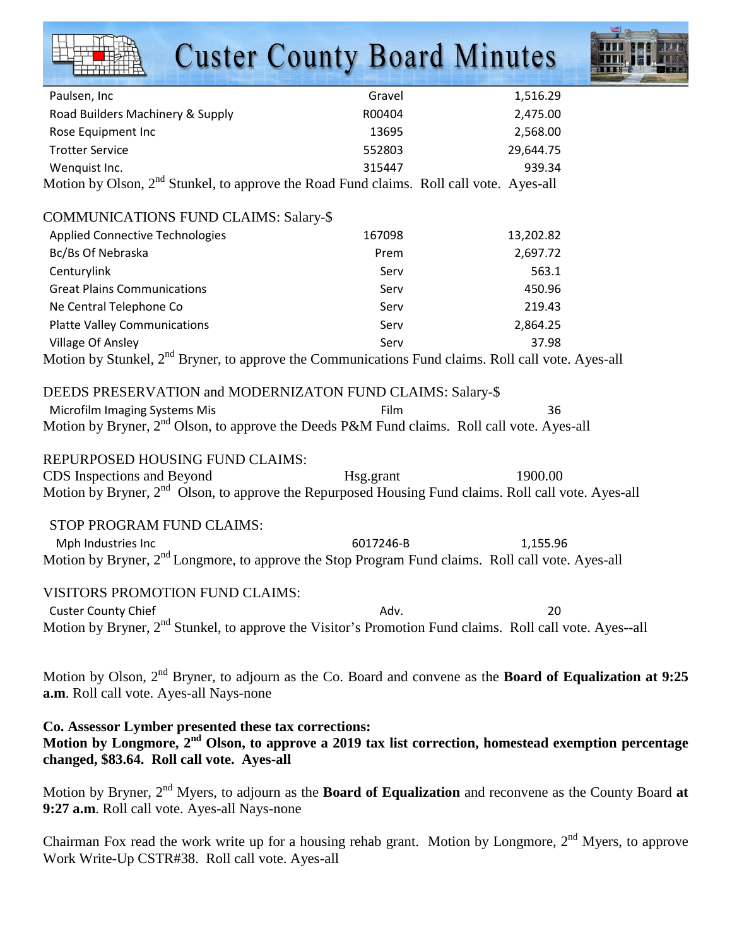|                                                                                                                                                                                                                        | <b>Custer County Board Minutes</b> |           |  |
|------------------------------------------------------------------------------------------------------------------------------------------------------------------------------------------------------------------------|------------------------------------|-----------|--|
| Paulsen, Inc                                                                                                                                                                                                           | Gravel                             | 1,516.29  |  |
| Road Builders Machinery & Supply                                                                                                                                                                                       | R00404                             | 2,475.00  |  |
| Rose Equipment Inc                                                                                                                                                                                                     | 13695                              | 2,568.00  |  |
| <b>Trotter Service</b>                                                                                                                                                                                                 | 552803                             | 29,644.75 |  |
| Wenquist Inc.                                                                                                                                                                                                          | 315447                             | 939.34    |  |
| Motion by Olson, 2 <sup>nd</sup> Stunkel, to approve the Road Fund claims. Roll call vote. Ayes-all                                                                                                                    |                                    |           |  |
| <b>COMMUNICATIONS FUND CLAIMS: Salary-\$</b>                                                                                                                                                                           |                                    |           |  |
| <b>Applied Connective Technologies</b>                                                                                                                                                                                 | 167098                             | 13,202.82 |  |
| Bc/Bs Of Nebraska                                                                                                                                                                                                      | Prem                               | 2,697.72  |  |
| Centurylink                                                                                                                                                                                                            | Serv                               | 563.1     |  |
| <b>Great Plains Communications</b>                                                                                                                                                                                     | Serv                               | 450.96    |  |
| Ne Central Telephone Co                                                                                                                                                                                                | Serv                               | 219.43    |  |
| <b>Platte Valley Communications</b>                                                                                                                                                                                    | Serv                               | 2,864.25  |  |
|                                                                                                                                                                                                                        | Serv                               | 37.98     |  |
| Village Of Ansley<br>Motion by Stunkel, 2 <sup>nd</sup> Bryner, to approve the Communications Fund claims. Roll call vote. Ayes-all                                                                                    |                                    |           |  |
| DEEDS PRESERVATION and MODERNIZATON FUND CLAIMS: Salary-\$                                                                                                                                                             |                                    |           |  |
| Microfilm Imaging Systems Mis                                                                                                                                                                                          | Film                               | 36        |  |
| Motion by Bryner, 2 <sup>nd</sup> Olson, to approve the Deeds P&M Fund claims. Roll call vote. Ayes-all                                                                                                                |                                    |           |  |
| REPURPOSED HOUSING FUND CLAIMS:                                                                                                                                                                                        |                                    |           |  |
| CDS Inspections and Beyond                                                                                                                                                                                             | Hsg.grant                          | 1900.00   |  |
| Motion by Bryner, 2 <sup>nd</sup> Olson, to approve the Repurposed Housing Fund claims. Roll call vote. Ayes-all                                                                                                       |                                    |           |  |
| STOP PROGRAM FUND CLAIMS:                                                                                                                                                                                              |                                    |           |  |
| Mph Industries Inc                                                                                                                                                                                                     | 6017246-B                          | 1,155.96  |  |
| Motion by Bryner, 2 <sup>nd</sup> Longmore, to approve the Stop Program Fund claims. Roll call vote. Ayes-all                                                                                                          |                                    |           |  |
| VISITORS PROMOTION FUND CLAIMS:                                                                                                                                                                                        |                                    |           |  |
| <b>Custer County Chief</b>                                                                                                                                                                                             | Adv.                               | 20        |  |
| Motion by Bryner, 2 <sup>nd</sup> Stunkel, to approve the Visitor's Promotion Fund claims. Roll call vote. Ayes--all                                                                                                   |                                    |           |  |
| Motion by Olson, 2 <sup>nd</sup> Bryner, to adjourn as the Co. Board and convene as the <b>Board of Equalization at 9:25</b><br>a.m. Roll call vote. Ayes-all Nays-none                                                |                                    |           |  |
| Co. Assessor Lymber presented these tax corrections:<br>Motion by Longmore, 2 <sup>nd</sup> Olson, to approve a 2019 tax list correction, homestead exemption percentage<br>changed, \$83.64. Roll call vote. Ayes-all |                                    |           |  |
| Motion by Bryner, $2^{nd}$ Myers, to adjourn as the <b>Board of Equalization</b> and reconvene as the County Board at<br>9:27 a.m. Roll call vote. Ayes-all Nays-none                                                  |                                    |           |  |

Chairman Fox read the work write up for a housing rehab grant. Motion by Longmore,  $2<sup>nd</sup>$  Myers, to approve Work Write-Up CSTR#38. Roll call vote. Ayes-all